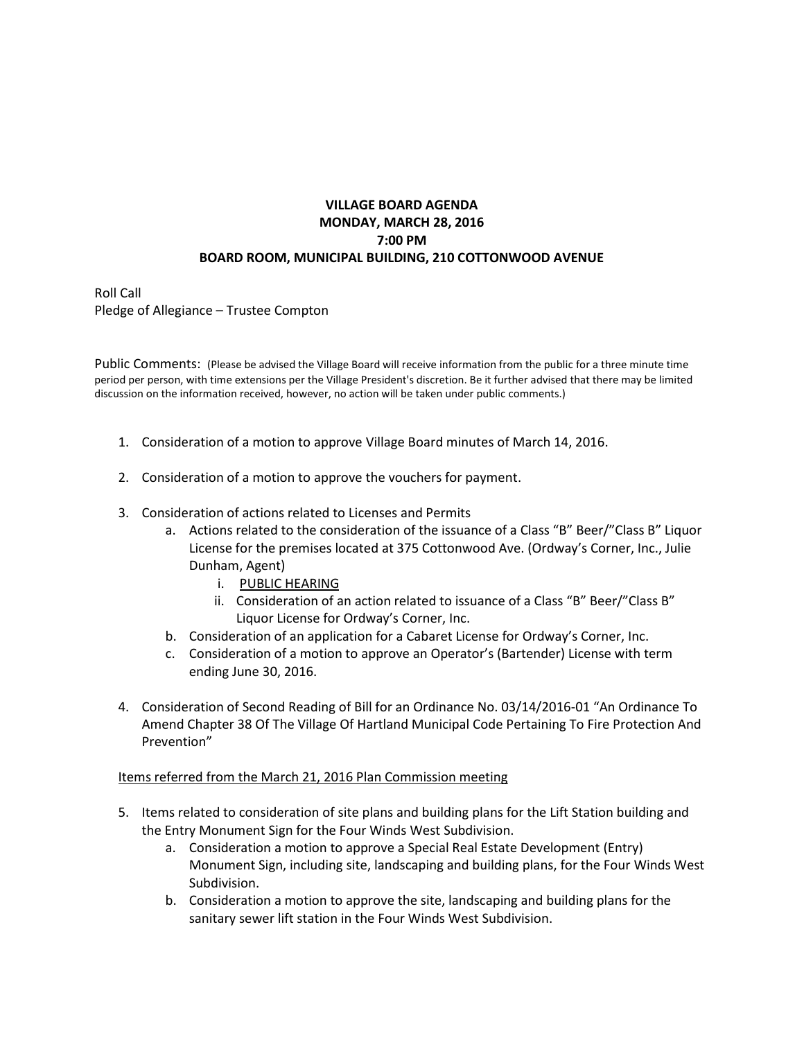## **VILLAGE BOARD AGENDA MONDAY, MARCH 28, 2016 7:00 PM BOARD ROOM, MUNICIPAL BUILDING, 210 COTTONWOOD AVENUE**

Roll Call Pledge of Allegiance – Trustee Compton

Public Comments: (Please be advised the Village Board will receive information from the public for a three minute time period per person, with time extensions per the Village President's discretion. Be it further advised that there may be limited discussion on the information received, however, no action will be taken under public comments.)

- 1. Consideration of a motion to approve Village Board minutes of March 14, 2016.
- 2. Consideration of a motion to approve the vouchers for payment.
- 3. Consideration of actions related to Licenses and Permits
	- a. Actions related to the consideration of the issuance of a Class "B" Beer/"Class B" Liquor License for the premises located at 375 Cottonwood Ave. (Ordway's Corner, Inc., Julie Dunham, Agent)
		- i. PUBLIC HEARING
		- ii. Consideration of an action related to issuance of a Class "B" Beer/"Class B" Liquor License for Ordway's Corner, Inc.
	- b. Consideration of an application for a Cabaret License for Ordway's Corner, Inc.
	- c. Consideration of a motion to approve an Operator's (Bartender) License with term ending June 30, 2016.
- 4. Consideration of Second Reading of Bill for an Ordinance No. 03/14/2016-01 "An Ordinance To Amend Chapter 38 Of The Village Of Hartland Municipal Code Pertaining To Fire Protection And Prevention"

## Items referred from the March 21, 2016 Plan Commission meeting

- 5. Items related to consideration of site plans and building plans for the Lift Station building and the Entry Monument Sign for the Four Winds West Subdivision.
	- a. Consideration a motion to approve a Special Real Estate Development (Entry) Monument Sign, including site, landscaping and building plans, for the Four Winds West Subdivision.
	- b. Consideration a motion to approve the site, landscaping and building plans for the sanitary sewer lift station in the Four Winds West Subdivision.